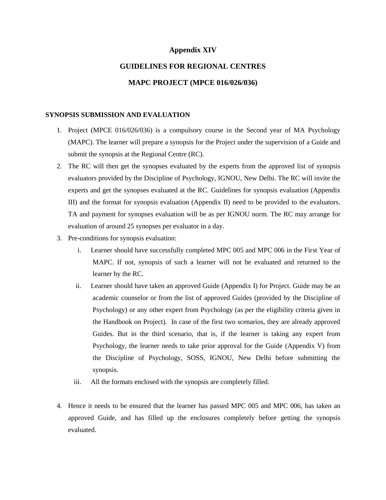#### **Appendix XIV**

## **GUIDELINES FOR REGIONAL CENTRES**

### **MAPC PROJECT (MPCE 016/026/036)**

#### **SYNOPSIS SUBMISSION AND EVALUATION**

- 1. Project (MPCE 016/026/036) is a compulsory course in the Second year of MA Psychology (MAPC). The learner will prepare a synopsis for the Project under the supervision of a Guide and submit the synopsis at the Regional Centre (RC).
- 2. The RC will then get the synopses evaluated by the experts from the approved list of synopsis evaluators provided by the Discipline of Psychology, IGNOU, New Delhi. The RC will invite the experts and get the synopses evaluated at the RC. Guidelines for synopsis evaluation (Appendix III) and the format for synopsis evaluation (Appendix II) need to be provided to the evaluators. TA and payment for synopses evaluation will be as per IGNOU norm. The RC may arrange for evaluation of around 25 synopses per evaluator in a day.
- 3. Pre-conditions for synopsis evaluation:
	- i. Learner should have successfully completed MPC 005 and MPC 006 in the First Year of MAPC. If not, synopsis of such a learner will not be evaluated and returned to the learner by the RC.
	- ii. Learner should have taken an approved Guide (Appendix I) for Project. Guide may be an academic counselor or from the list of approved Guides (provided by the Discipline of Psychology) or any other expert from Psychology (as per the eligibility criteria given in the Handbook on Project). In case of the first two scenarios, they are already approved Guides. But in the third scenario, that is, if the learner is taking any expert from Psychology, the learner needs to take prior approval for the Guide (Appendix V) from the Discipline of Psychology, SOSS, IGNOU, New Delhi before submitting the synopsis.
	- iii. All the formats enclosed with the synopsis are completely filled.
- 4. Hence it needs to be ensured that the learner has passed MPC 005 and MPC 006, has taken an approved Guide, and has filled up the enclosures completely before getting the synopsis evaluated.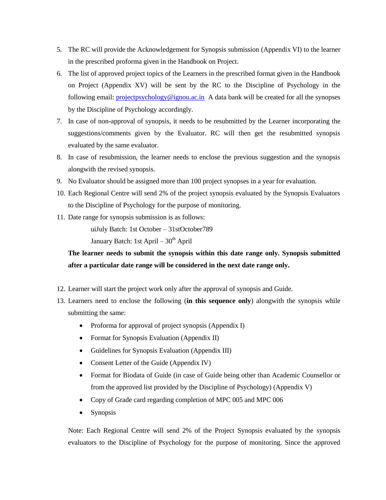- 5. The RC will provide the Acknowledgement for Synopsis submission (Appendix VI) to the learner in the prescribed proforma given in the Handbook on Project.
- 6. The list of approved project topics of the Learners in the prescribed format given in the Handbook on Project (Appendix XV) will be sent by the RC to the Discipline of Psychology in the following email: [projectpsychology@ignou.ac.in](mailto:projectpsychology@ignou.ac.in) A data bank will be created for all the synopses by the Discipline of Psychology accordingly.
- 7. In case of non-approval of synopsis, it needs to be resubmitted by the Learner incorporating the suggestions/comments given by the Evaluator. RC will then get the resubmitted synopsis evaluated by the same evaluator.
- 8. In case of resubmission, the learner needs to enclose the previous suggestion and the synopsis alongwith the revised synopsis.
- 9. No Evaluator should be assigned more than 100 project synopses in a year for evaluation.
- 10. Each Regional Centre will send 2% of the project synopsis evaluated by the Synopsis Evaluators to the Discipline of Psychology for the purpose of monitoring.
- 11. Date range for synopsis submission is as follows:

uiJuly Batch: 1st October – 31stOctober789

January Batch: 1st April –  $30<sup>th</sup>$  April

**The learner needs to submit the synopsis within this date range only. Synopsis submitted after a particular date range will be considered in the next date range only.**

- 12. Learner will start the project work only after the approval of synopsis and Guide.
- 13. Learners need to enclose the following (**in this sequence only**) alongwith the synopsis while submitting the same:
	- Proforma for approval of project synopsis (Appendix I)
	- Format for Synopsis Evaluation (Appendix II)
	- Guidelines for Synopsis Evaluation (Appendix III)
	- Consent Letter of the Guide (Appendix IV)
	- Format for Biodata of Guide (in case of Guide being other than Academic Counsellor or from the approved list provided by the Discipline of Psychology) (Appendix V)
	- Copy of Grade card regarding completion of MPC 005 and MPC 006
	- Synopsis

Note: Each Regional Centre will send 2% of the Project Synopsis evaluated by the synopsis evaluators to the Discipline of Psychology for the purpose of monitoring. Since the approved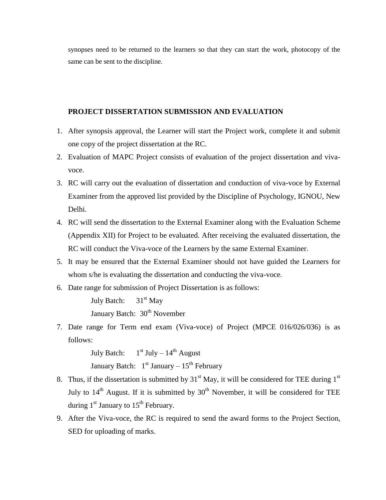synopses need to be returned to the learners so that they can start the work, photocopy of the same can be sent to the discipline.

### **PROJECT DISSERTATION SUBMISSION AND EVALUATION**

- 1. After synopsis approval, the Learner will start the Project work, complete it and submit one copy of the project dissertation at the RC.
- 2. Evaluation of MAPC Project consists of evaluation of the project dissertation and vivavoce.
- 3. RC will carry out the evaluation of dissertation and conduction of viva-voce by External Examiner from the approved list provided by the Discipline of Psychology, IGNOU, New Delhi.
- 4. RC will send the dissertation to the External Examiner along with the Evaluation Scheme (Appendix XII) for Project to be evaluated. After receiving the evaluated dissertation, the RC will conduct the Viva-voce of the Learners by the same External Examiner.
- 5. It may be ensured that the External Examiner should not have guided the Learners for whom s/he is evaluating the dissertation and conducting the viva-voce.
- 6. Date range for submission of Project Dissertation is as follows:

July Batch:  $31<sup>st</sup>$  May January Batch: 30<sup>th</sup> November

7. Date range for Term end exam (Viva-voce) of Project (MPCE 016/026/036) is as follows:

> July Batch:  $1<sup>st</sup>$  July –  $14<sup>th</sup>$  August January Batch:  $1<sup>st</sup>$  January –  $15<sup>th</sup>$  February

- 8. Thus, if the dissertation is submitted by  $31<sup>st</sup>$  May, it will be considered for TEE during  $1<sup>st</sup>$ July to  $14<sup>th</sup>$  August. If it is submitted by  $30<sup>th</sup>$  November, it will be considered for TEE during  $1<sup>st</sup>$  January to  $15<sup>th</sup>$  February.
- 9. After the Viva-voce, the RC is required to send the award forms to the Project Section, SED for uploading of marks.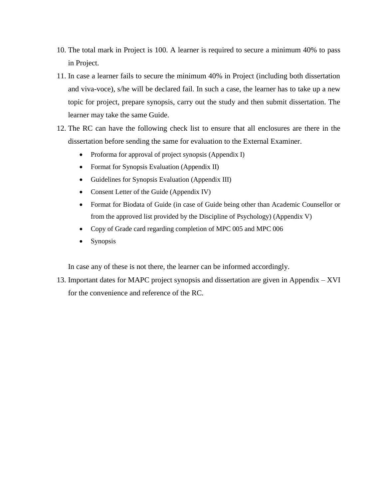- 10. The total mark in Project is 100. A learner is required to secure a minimum 40% to pass in Project.
- 11. In case a learner fails to secure the minimum 40% in Project (including both dissertation and viva-voce), s/he will be declared fail. In such a case, the learner has to take up a new topic for project, prepare synopsis, carry out the study and then submit dissertation. The learner may take the same Guide.
- 12. The RC can have the following check list to ensure that all enclosures are there in the dissertation before sending the same for evaluation to the External Examiner.
	- Proforma for approval of project synopsis (Appendix I)
	- Format for Synopsis Evaluation (Appendix II)
	- Guidelines for Synopsis Evaluation (Appendix III)
	- Consent Letter of the Guide (Appendix IV)
	- Format for Biodata of Guide (in case of Guide being other than Academic Counsellor or from the approved list provided by the Discipline of Psychology) (Appendix V)
	- Copy of Grade card regarding completion of MPC 005 and MPC 006
	- Synopsis

In case any of these is not there, the learner can be informed accordingly.

13. Important dates for MAPC project synopsis and dissertation are given in Appendix – XVI for the convenience and reference of the RC.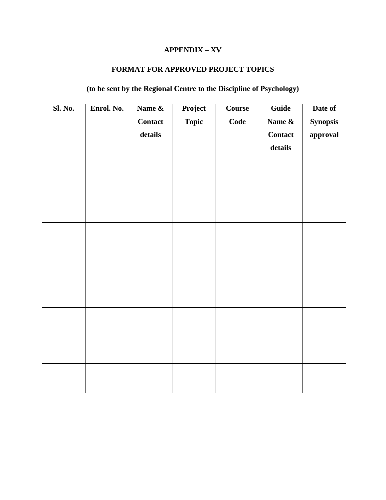## **APPENDIX – XV**

### **FORMAT FOR APPROVED PROJECT TOPICS**

# **(to be sent by the Regional Centre to the Discipline of Psychology)**

| <b>Sl. No.</b> | Enrol. No. | Name &<br><b>Contact</b><br>details | Project<br><b>Topic</b> | Course<br>Code | Guide<br>Name &<br><b>Contact</b><br>details | Date of<br><b>Synopsis</b><br>approval |
|----------------|------------|-------------------------------------|-------------------------|----------------|----------------------------------------------|----------------------------------------|
|                |            |                                     |                         |                |                                              |                                        |
|                |            |                                     |                         |                |                                              |                                        |
|                |            |                                     |                         |                |                                              |                                        |
|                |            |                                     |                         |                |                                              |                                        |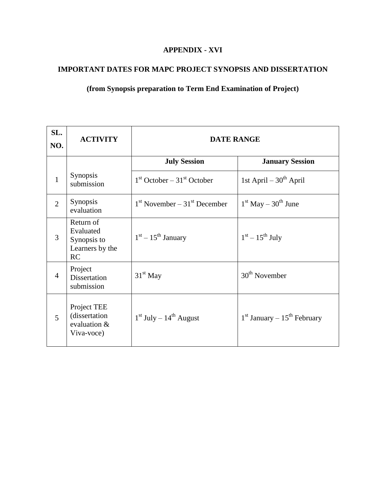## **APPENDIX - XVI**

## **IMPORTANT DATES FOR MAPC PROJECT SYNOPSIS AND DISSERTATION**

## **(from Synopsis preparation to Term End Examination of Project)**

| SL.<br>NO.     | <b>ACTIVITY</b>                                                | <b>DATE RANGE</b>                |                                 |  |  |
|----------------|----------------------------------------------------------------|----------------------------------|---------------------------------|--|--|
|                |                                                                | <b>July Session</b>              | <b>January Session</b>          |  |  |
| 1              | <b>Synopsis</b><br>submission                                  | $1st October - 31st October$     | 1st April $-30^{th}$ April      |  |  |
| $\overline{2}$ | <b>Synopsis</b><br>evaluation                                  | $1st$ November – $31st$ December | $1st$ May $-30th$ June          |  |  |
| 3              | Return of<br>Evaluated<br>Synopsis to<br>Learners by the<br>RC | $1st - 15th$ January             | $1st - 15th$ July               |  |  |
| $\overline{4}$ | Project<br><b>Dissertation</b><br>submission                   | $31st$ May                       | $30th$ November                 |  |  |
| 5              | Project TEE<br>(dissertation<br>evaluation &<br>Viva-voce)     | $1st$ July – $14th$ August       | $1st$ January – $15th$ February |  |  |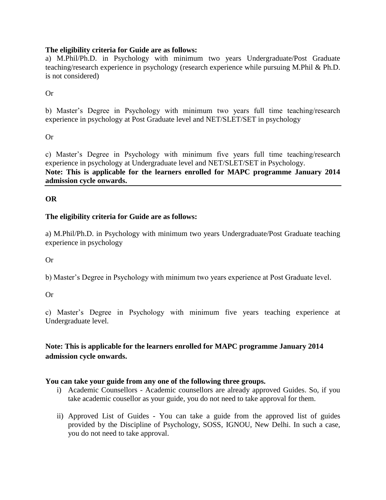### **The eligibility criteria for Guide are as follows:**

a) M.Phil/Ph.D. in Psychology with minimum two years Undergraduate/Post Graduate teaching/research experience in psychology (research experience while pursuing M.Phil & Ph.D. is not considered)

### Or

b) Master's Degree in Psychology with minimum two years full time teaching/research experience in psychology at Post Graduate level and NET/SLET/SET in psychology

### Or

c) Master's Degree in Psychology with minimum five years full time teaching/research experience in psychology at Undergraduate level and NET/SLET/SET in Psychology. **Note: This is applicable for the learners enrolled for MAPC programme January 2014 admission cycle onwards.**

### **OR**

### **The eligibility criteria for Guide are as follows:**

a) M.Phil/Ph.D. in Psychology with minimum two years Undergraduate/Post Graduate teaching experience in psychology

### Or

b) Master's Degree in Psychology with minimum two years experience at Post Graduate level.

### Or

c) Master's Degree in Psychology with minimum five years teaching experience at Undergraduate level.

## **Note: This is applicable for the learners enrolled for MAPC programme January 2014 admission cycle onwards.**

### **You can take your guide from any one of the following three groups.**

- i) Academic Counsellors Academic counsellors are already approved Guides. So, if you take academic cousellor as your guide, you do not need to take approval for them.
- ii) Approved List of Guides You can take a guide from the approved list of guides provided by the Discipline of Psychology, SOSS, IGNOU, New Delhi. In such a case, you do not need to take approval.